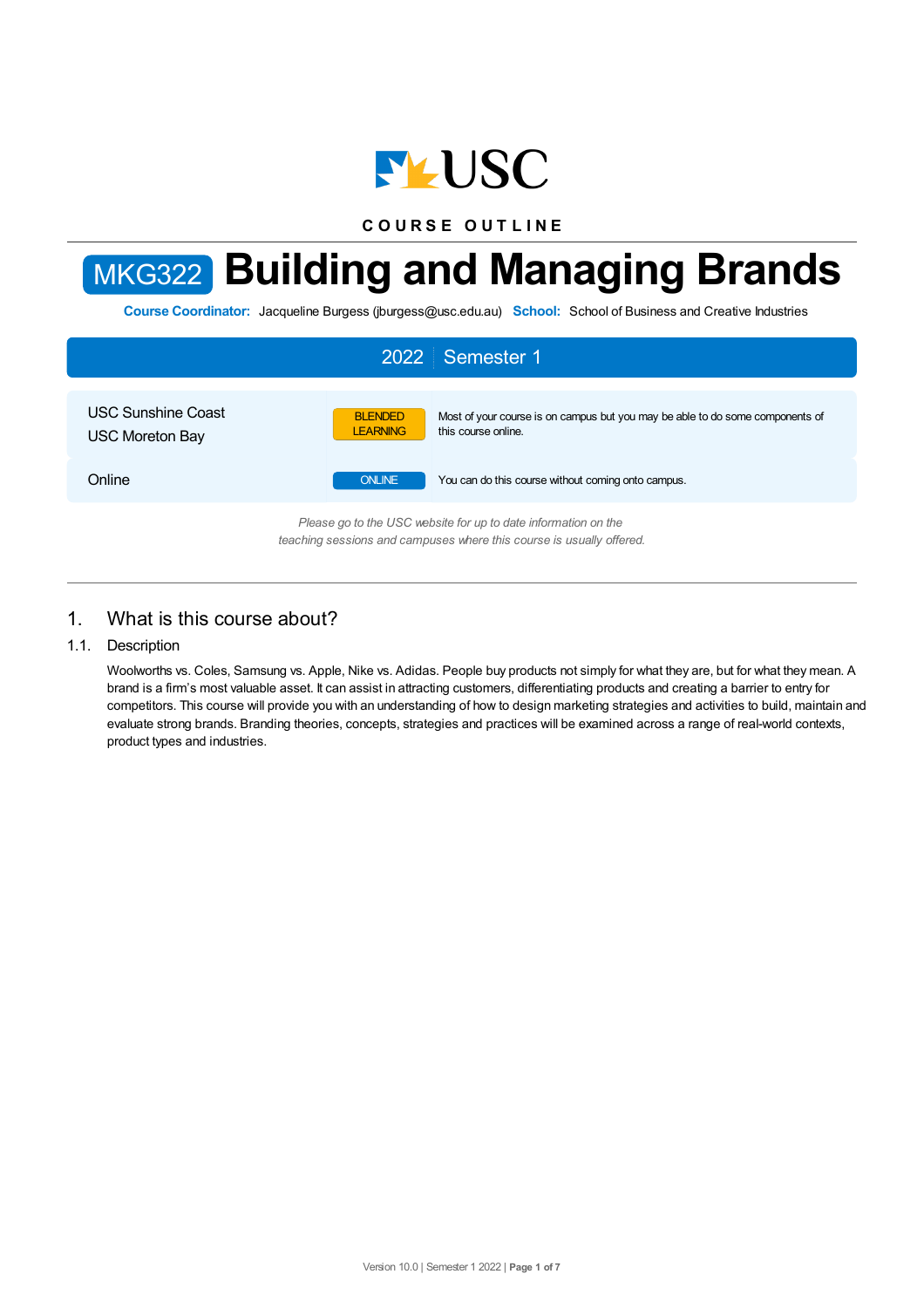

**C O U R S E O U T L I N E**

# MKG322 **Building and Managing Brands**

**Course Coordinator:** Jacqueline Burgess (jburgess@usc.edu.au) **School:** School of Business and Creative Industries



# 1. What is this course about?

### 1.1. Description

Woolworths vs. Coles, Samsung vs. Apple, Nike vs. Adidas. People buy products not simply for what they are, but for what they mean. A brand is a firm's most valuable asset. It can assist in attracting customers, differentiating products and creating a barrier to entry for competitors. This course will provide you with an understanding of how to design marketing strategies and activities to build, maintain and evaluate strong brands. Branding theories, concepts, strategies and practices will be examined across a range of real-world contexts, product types and industries.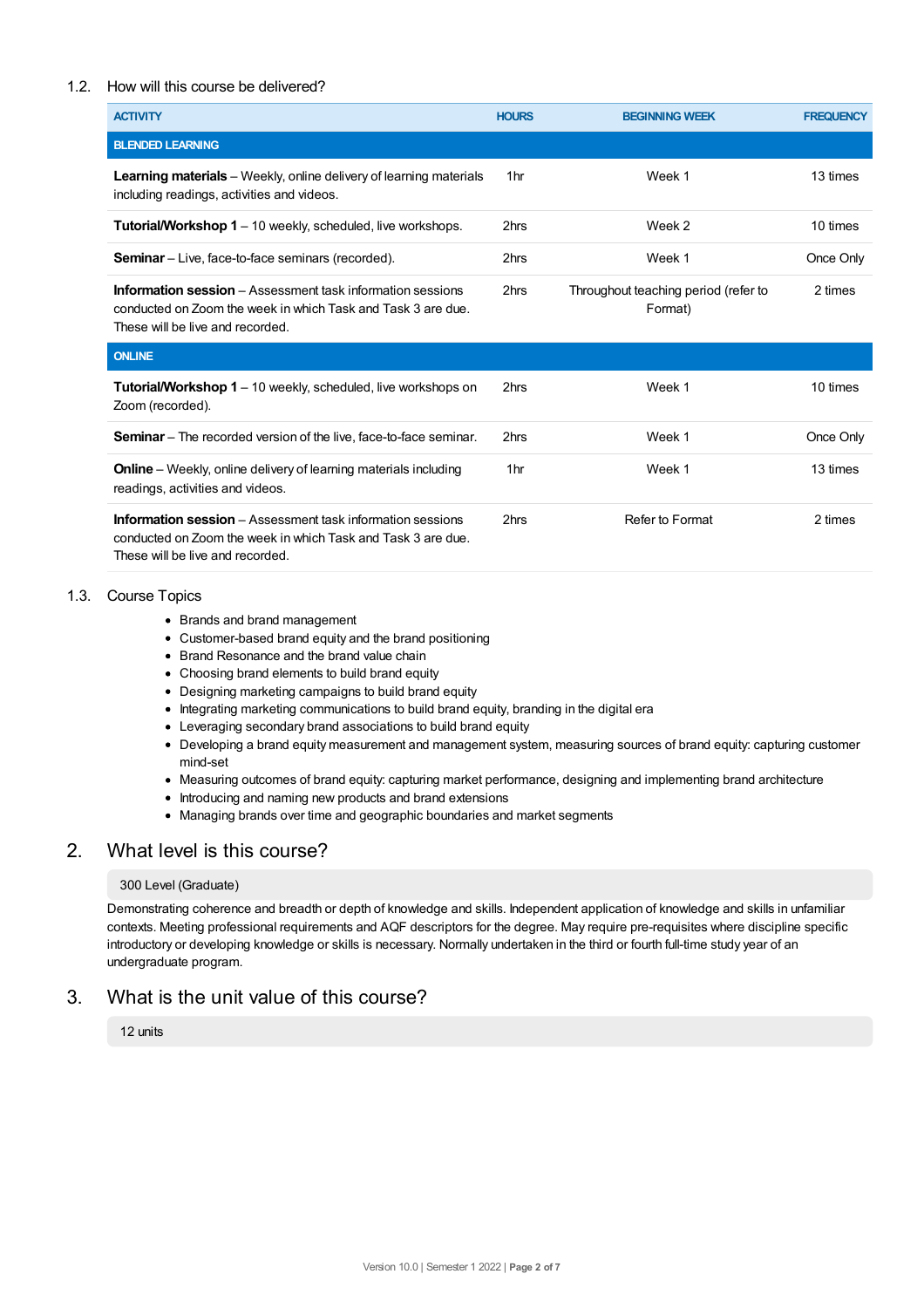## 1.2. How will this course be delivered?

| <b>ACTIVITY</b>                                                                                                                                                       | <b>HOURS</b>    | <b>BEGINNING WEEK</b>                           | <b>FREQUENCY</b> |
|-----------------------------------------------------------------------------------------------------------------------------------------------------------------------|-----------------|-------------------------------------------------|------------------|
| <b>BLENDED LEARNING</b>                                                                                                                                               |                 |                                                 |                  |
| <b>Learning materials</b> – Weekly, online delivery of learning materials<br>including readings, activities and videos.                                               | 1 <sub>hr</sub> | Week 1                                          | 13 times         |
| Tutorial/Workshop 1 - 10 weekly, scheduled, live workshops.                                                                                                           | 2hrs            | Week 2                                          | 10 times         |
| <b>Seminar</b> – Live, face-to-face seminars (recorded).                                                                                                              | 2hrs            | Week 1                                          | Once Only        |
| <b>Information session</b> – Assessment task information sessions<br>conducted on Zoom the week in which Task and Task 3 are due.<br>These will be live and recorded. | 2hrs            | Throughout teaching period (refer to<br>Format) | 2 times          |
| <b>ONLINE</b>                                                                                                                                                         |                 |                                                 |                  |
| <b>Tutorial/Workshop 1</b> – 10 weekly, scheduled, live workshops on<br>Zoom (recorded).                                                                              | 2hrs            | Week 1                                          | 10 times         |
| <b>Seminar</b> – The recorded version of the live, face-to-face seminar.                                                                                              | 2hrs            | Week 1                                          | Once Only        |
| <b>Online</b> – Weekly, online delivery of learning materials including<br>readings, activities and videos.                                                           | 1 <sub>hr</sub> | Week 1                                          | 13 times         |
| <b>Information session</b> – Assessment task information sessions<br>conducted on Zoom the week in which Task and Task 3 are due.<br>These will be live and recorded. | 2hrs            | Refer to Format                                 | 2 times          |

## 1.3. Course Topics

- Brands and brand management
- Customer-based brand equity and the brand positioning
- Brand Resonance and the brand value chain
- Choosing brand elements to build brand equity
- Designing marketing campaigns to build brand equity
- Integrating marketing communications to build brand equity, branding in the digital era
- Leveraging secondary brand associations to build brand equity
- Developing a brand equity measurement and management system, measuring sources of brand equity: capturing customer mind-set
- Measuring outcomes of brand equity: capturing market performance, designing and implementing brand architecture
- Introducing and naming new products and brand extensions
- Managing brands over time and geographic boundaries and market segments

## 2. What level is this course?

#### 300 Level (Graduate)

Demonstrating coherence and breadth or depth of knowledge and skills. Independent application of knowledge and skills in unfamiliar contexts. Meeting professional requirements and AQF descriptors for the degree. May require pre-requisites where discipline specific introductory or developing knowledge or skills is necessary. Normally undertaken in the third or fourth full-time study year of an undergraduate program.

# 3. What is the unit value of this course?

12 units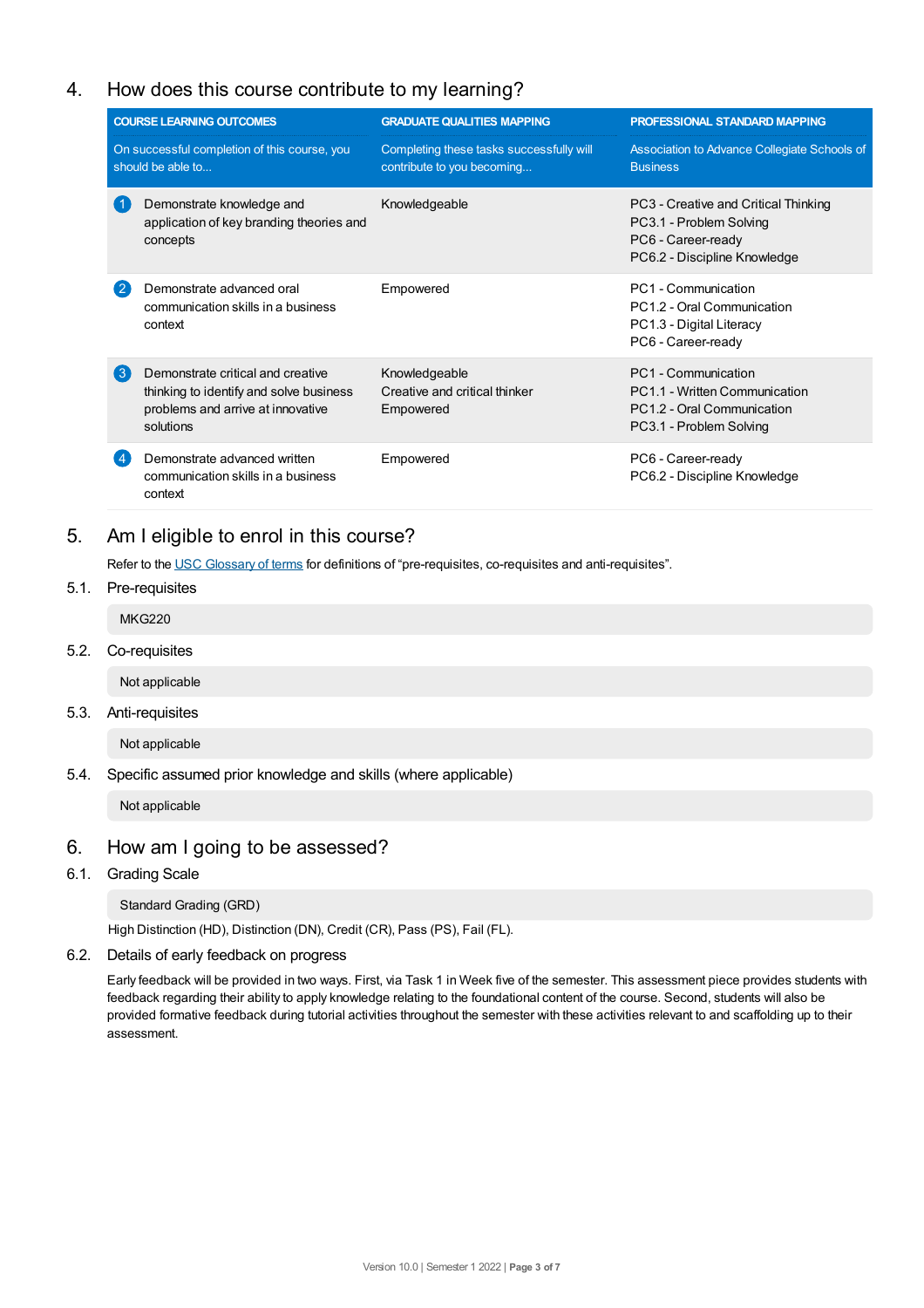# 4. How does this course contribute to my learning?

|                    | <b>COURSE LEARNING OUTCOMES</b>                                                                                                | <b>GRADUATE QUALITIES MAPPING</b>                                      | <b>PROFESSIONAL STANDARD MAPPING</b>                                                                                  |
|--------------------|--------------------------------------------------------------------------------------------------------------------------------|------------------------------------------------------------------------|-----------------------------------------------------------------------------------------------------------------------|
|                    | On successful completion of this course, you<br>should be able to                                                              | Completing these tasks successfully will<br>contribute to you becoming | Association to Advance Collegiate Schools of<br><b>Business</b>                                                       |
|                    | Demonstrate knowledge and<br>application of key branding theories and<br>concepts                                              | Knowledgeable                                                          | PC3 - Creative and Critical Thinking<br>PC3.1 - Problem Solving<br>PC6 - Career-ready<br>PC6.2 - Discipline Knowledge |
| (2                 | Demonstrate advanced oral<br>communication skills in a business<br>context                                                     | Empowered                                                              | PC1 - Communication<br>PC1.2 - Oral Communication<br>PC1.3 - Digital Literacy<br>PC6 - Career-ready                   |
| $\left( 3 \right)$ | Demonstrate critical and creative<br>thinking to identify and solve business<br>problems and arrive at innovative<br>solutions | Knowledgeable<br>Creative and critical thinker<br>Empowered            | PC1 - Communication<br>PC1.1 - Written Communication<br>PC1.2 - Oral Communication<br>PC3.1 - Problem Solving         |
|                    | Demonstrate advanced written<br>communication skills in a business<br>context                                                  | Empowered                                                              | PC6 - Career-ready<br>PC6.2 - Discipline Knowledge                                                                    |

# 5. Am Ieligible to enrol in this course?

Refer to the USC [Glossary](https://www.usc.edu.au/about/policies-and-procedures/glossary-of-terms-for-policy-and-procedures) of terms for definitions of "pre-requisites, co-requisites and anti-requisites".

5.1. Pre-requisites

MKG220

5.2. Co-requisites

Not applicable

5.3. Anti-requisites

Not applicable

5.4. Specific assumed prior knowledge and skills (where applicable)

Not applicable

# 6. How am Igoing to be assessed?

6.1. Grading Scale

Standard Grading (GRD)

High Distinction (HD), Distinction (DN), Credit (CR), Pass (PS), Fail (FL).

6.2. Details of early feedback on progress

Early feedback will be provided in two ways. First, via Task 1 in Week five of the semester. This assessment piece provides students with feedback regarding their ability to apply knowledge relating to the foundational content of the course. Second, students will also be provided formative feedback during tutorial activities throughout the semester with these activities relevant to and scaffolding up to their assessment.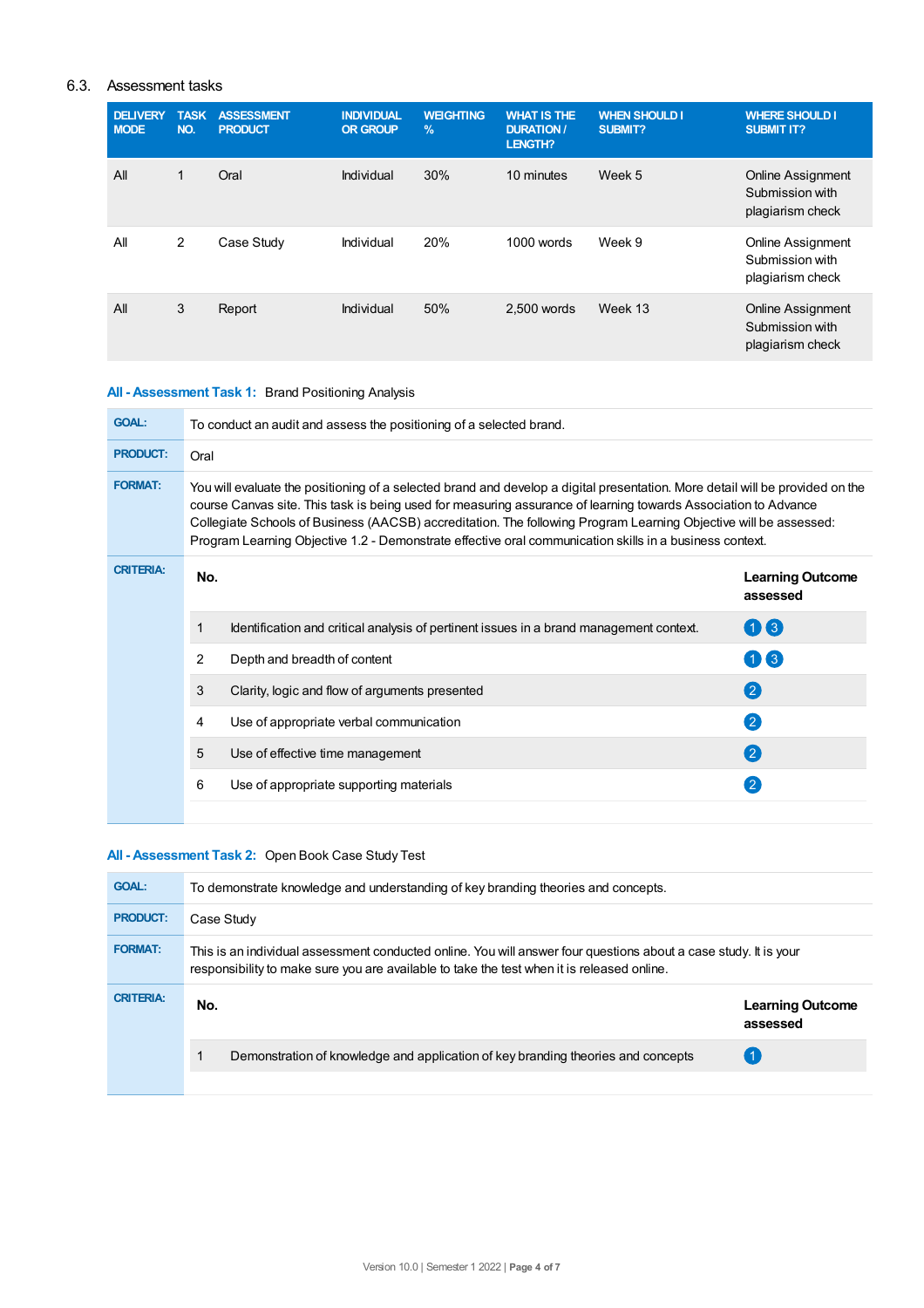## 6.3. Assessment tasks

| <b>DELIVERY</b><br><b>MODE</b> | <b>TASK</b><br>NO. | <b>ASSESSMENT</b><br><b>PRODUCT</b> | <b>INDIVIDUAL</b><br><b>OR GROUP</b> | <b>WEIGHTING</b><br>$\%$ | <b>WHAT IS THE</b><br><b>DURATION /</b><br>LENGTH? | <b>WHEN SHOULD I</b><br>SUBMIT? | <b>WHERE SHOULD I</b><br><b>SUBMIT IT?</b>                      |
|--------------------------------|--------------------|-------------------------------------|--------------------------------------|--------------------------|----------------------------------------------------|---------------------------------|-----------------------------------------------------------------|
| All                            | 1                  | Oral                                | Individual                           | 30%                      | 10 minutes                                         | Week 5                          | <b>Online Assignment</b><br>Submission with<br>plagiarism check |
| All                            | 2                  | Case Study                          | Individual                           | 20%                      | 1000 words                                         | Week 9                          | Online Assignment<br>Submission with<br>plagiarism check        |
| All                            | 3                  | Report                              | Individual                           | 50%                      | 2.500 words                                        | Week 13                         | <b>Online Assignment</b><br>Submission with<br>plagiarism check |

## **All - Assessment Task 1:** Brand Positioning Analysis

| <b>GOAL:</b>     | To conduct an audit and assess the positioning of a selected brand.                                                                                                                                                                                                                                                                                                                                                                                                            |                                                                                         |                                     |  |  |  |
|------------------|--------------------------------------------------------------------------------------------------------------------------------------------------------------------------------------------------------------------------------------------------------------------------------------------------------------------------------------------------------------------------------------------------------------------------------------------------------------------------------|-----------------------------------------------------------------------------------------|-------------------------------------|--|--|--|
| <b>PRODUCT:</b>  | Oral                                                                                                                                                                                                                                                                                                                                                                                                                                                                           |                                                                                         |                                     |  |  |  |
| <b>FORMAT:</b>   | You will evaluate the positioning of a selected brand and develop a digital presentation. More detail will be provided on the<br>course Canvas site. This task is being used for measuring assurance of learning towards Association to Advance<br>Collegiate Schools of Business (AACSB) accreditation. The following Program Learning Objective will be assessed:<br>Program Learning Objective 1.2 - Demonstrate effective oral communication skills in a business context. |                                                                                         |                                     |  |  |  |
| <b>CRITERIA:</b> | No.                                                                                                                                                                                                                                                                                                                                                                                                                                                                            |                                                                                         | <b>Learning Outcome</b><br>assessed |  |  |  |
|                  | 1                                                                                                                                                                                                                                                                                                                                                                                                                                                                              | Identification and critical analysis of pertinent issues in a brand management context. | $1)$ (3)                            |  |  |  |
|                  | 2                                                                                                                                                                                                                                                                                                                                                                                                                                                                              | Depth and breadth of content                                                            | $\left( 3 \right)$                  |  |  |  |
|                  | 3                                                                                                                                                                                                                                                                                                                                                                                                                                                                              | Clarity, logic and flow of arguments presented                                          | $\left( 2\right)$                   |  |  |  |
|                  | 4                                                                                                                                                                                                                                                                                                                                                                                                                                                                              | Use of appropriate verbal communication                                                 | $\mathbf{2}$                        |  |  |  |
|                  | 5                                                                                                                                                                                                                                                                                                                                                                                                                                                                              | Use of effective time management                                                        | $\left( 2\right)$                   |  |  |  |
|                  | 6                                                                                                                                                                                                                                                                                                                                                                                                                                                                              | Use of appropriate supporting materials                                                 |                                     |  |  |  |
|                  |                                                                                                                                                                                                                                                                                                                                                                                                                                                                                |                                                                                         |                                     |  |  |  |

## **All - Assessment Task 2:** Open Book Case Study Test

| <b>GOAL:</b>     | To demonstrate knowledge and understanding of key branding theories and concepts.                                                                                                                              |                                     |  |  |  |
|------------------|----------------------------------------------------------------------------------------------------------------------------------------------------------------------------------------------------------------|-------------------------------------|--|--|--|
| <b>PRODUCT:</b>  | Case Study                                                                                                                                                                                                     |                                     |  |  |  |
| <b>FORMAT:</b>   | This is an individual assessment conducted online. You will answer four questions about a case study. It is your<br>responsibility to make sure you are available to take the test when it is released online. |                                     |  |  |  |
| <b>CRITERIA:</b> | No.                                                                                                                                                                                                            | <b>Learning Outcome</b><br>assessed |  |  |  |
|                  | Demonstration of knowledge and application of key branding theories and concepts                                                                                                                               |                                     |  |  |  |
|                  |                                                                                                                                                                                                                |                                     |  |  |  |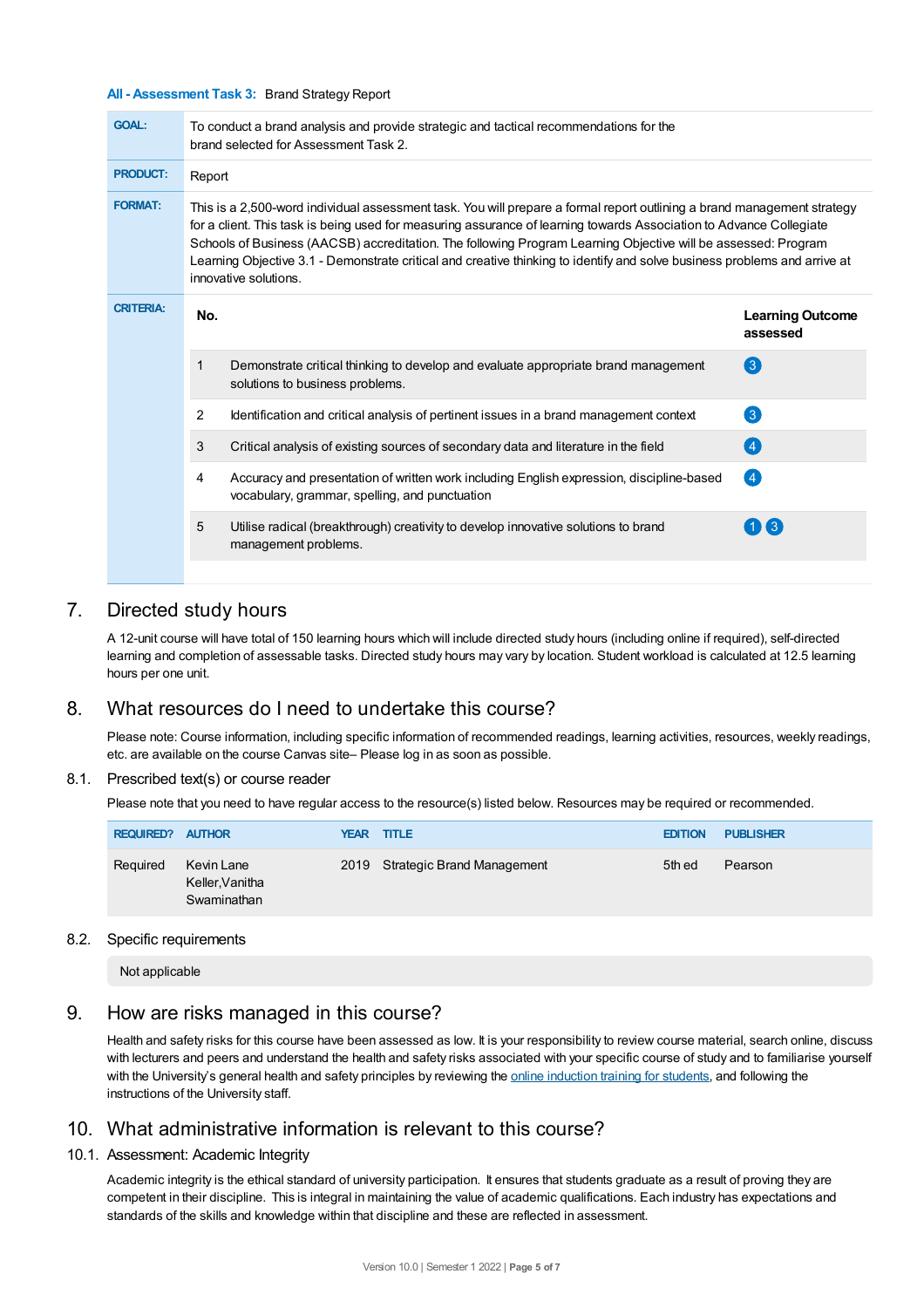#### **All - Assessment Task 3:** Brand Strategy Report

| <b>GOAL:</b>     | To conduct a brand analysis and provide strategic and tactical recommendations for the<br>brand selected for Assessment Task 2.                                                                                                                                                                                                                                                                                                                                                                                       |                                     |  |  |  |  |  |
|------------------|-----------------------------------------------------------------------------------------------------------------------------------------------------------------------------------------------------------------------------------------------------------------------------------------------------------------------------------------------------------------------------------------------------------------------------------------------------------------------------------------------------------------------|-------------------------------------|--|--|--|--|--|
| <b>PRODUCT:</b>  | Report                                                                                                                                                                                                                                                                                                                                                                                                                                                                                                                |                                     |  |  |  |  |  |
| <b>FORMAT:</b>   | This is a 2,500-word individual assessment task. You will prepare a formal report outlining a brand management strategy<br>for a client. This task is being used for measuring assurance of learning towards Association to Advance Collegiate<br>Schools of Business (AACSB) accreditation. The following Program Learning Objective will be assessed: Program<br>Learning Objective 3.1 - Demonstrate critical and creative thinking to identify and solve business problems and arrive at<br>innovative solutions. |                                     |  |  |  |  |  |
| <b>CRITERIA:</b> | No.                                                                                                                                                                                                                                                                                                                                                                                                                                                                                                                   | <b>Learning Outcome</b><br>assessed |  |  |  |  |  |
|                  | $\mathbf{1}$<br>Demonstrate critical thinking to develop and evaluate appropriate brand management<br>solutions to business problems.                                                                                                                                                                                                                                                                                                                                                                                 | $\left( 3\right)$                   |  |  |  |  |  |
|                  | 2<br>Identification and critical analysis of pertinent issues in a brand management context                                                                                                                                                                                                                                                                                                                                                                                                                           | 3                                   |  |  |  |  |  |
|                  | 3<br>Critical analysis of existing sources of secondary data and literature in the field                                                                                                                                                                                                                                                                                                                                                                                                                              | (4)                                 |  |  |  |  |  |
|                  | Accuracy and presentation of written work including English expression, discipline-based<br>4<br>vocabulary, grammar, spelling, and punctuation                                                                                                                                                                                                                                                                                                                                                                       | $\overline{A}$                      |  |  |  |  |  |
|                  | 5<br>Utilise radical (breakthrough) creativity to develop innovative solutions to brand<br>management problems.                                                                                                                                                                                                                                                                                                                                                                                                       | $1$ $\bf{I}$ 3                      |  |  |  |  |  |

# 7. Directed study hours

A 12-unit course will have total of 150 learning hours which will include directed study hours (including online if required), self-directed learning and completion of assessable tasks. Directed study hours may vary by location. Student workload is calculated at 12.5 learning hours per one unit.

## 8. What resources do I need to undertake this course?

Please note: Course information, including specific information of recommended readings, learning activities, resources, weekly readings, etc. are available on the course Canvas site– Please log in as soon as possible.

#### 8.1. Prescribed text(s) or course reader

Please note that you need to have regular access to the resource(s) listed below. Resources may be required or recommended.

| <b>REQUIRED? AUTHOR</b> |                                              | YEAR TITLE |                                 | <b>EDITION</b> | <b>PUBLISHER</b> |
|-------------------------|----------------------------------------------|------------|---------------------------------|----------------|------------------|
| Reguired                | Kevin Lane<br>Keller, Vanitha<br>Swaminathan |            | 2019 Strategic Brand Management | 5th ed         | Pearson          |

#### 8.2. Specific requirements

Not applicable

## 9. How are risks managed in this course?

Health and safety risks for this course have been assessed as low. It is your responsibility to review course material, search online, discuss with lecturers and peers and understand the health and safety risks associated with your specific course of study and to familiarise yourself with the University's general health and safety principles by reviewing the online [induction](https://online.usc.edu.au/webapps/blackboard/content/listContentEditable.jsp?content_id=_632657_1&course_id=_14432_1) training for students, and following the instructions of the University staff.

# 10. What administrative information is relevant to this course?

#### 10.1. Assessment: Academic Integrity

Academic integrity is the ethical standard of university participation. It ensures that students graduate as a result of proving they are competent in their discipline. This is integral in maintaining the value of academic qualifications. Each industry has expectations and standards of the skills and knowledge within that discipline and these are reflected in assessment.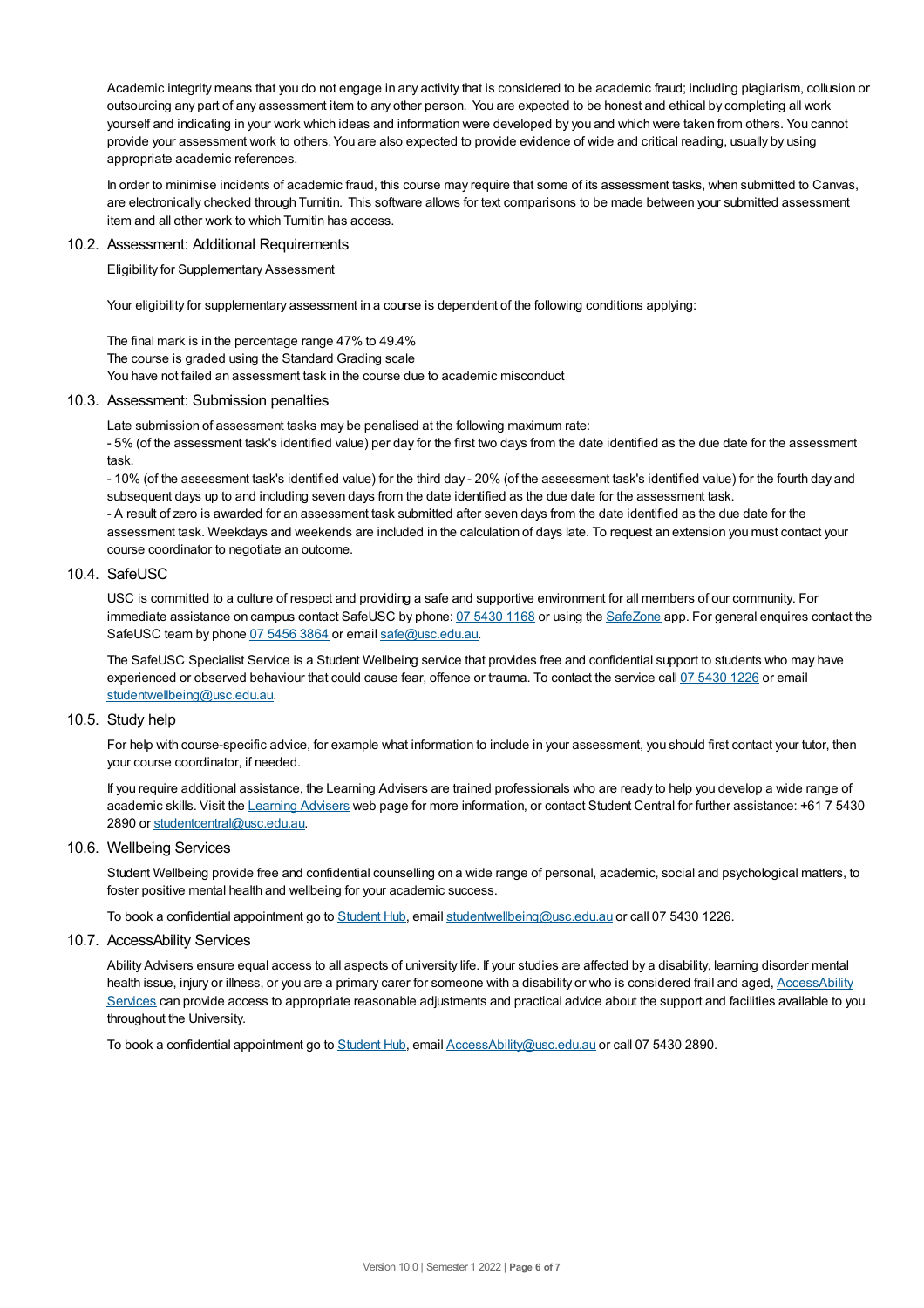Academic integrity means that you do not engage in any activity that is considered to be academic fraud; including plagiarism, collusion or outsourcing any part of any assessment item to any other person. You are expected to be honest and ethical by completing all work yourself and indicating in your work which ideas and information were developed by you and which were taken from others. You cannot provide your assessment work to others.You are also expected to provide evidence of wide and critical reading, usually by using appropriate academic references.

In order to minimise incidents of academic fraud, this course may require that some of its assessment tasks, when submitted to Canvas, are electronically checked through Turnitin. This software allows for text comparisons to be made between your submitted assessment item and all other work to which Turnitin has access.

#### 10.2. Assessment: Additional Requirements

Eligibility for Supplementary Assessment

Your eligibility for supplementary assessment in a course is dependent of the following conditions applying:

The final mark is in the percentage range 47% to 49.4% The course is graded using the Standard Grading scale You have not failed an assessment task in the course due to academic misconduct

#### 10.3. Assessment: Submission penalties

Late submission of assessment tasks may be penalised at the following maximum rate:

- 5% (of the assessment task's identified value) per day for the first two days from the date identified as the due date for the assessment task.

- 10% (of the assessment task's identified value) for the third day - 20% (of the assessment task's identified value) for the fourth day and subsequent days up to and including seven days from the date identified as the due date for the assessment task. - A result of zero is awarded for an assessment task submitted after seven days from the date identified as the due date for the assessment task. Weekdays and weekends are included in the calculation of days late. To request an extension you must contact your course coordinator to negotiate an outcome.

#### 10.4. SafeUSC

USC is committed to a culture of respect and providing a safe and supportive environment for all members of our community. For immediate assistance on campus contact SafeUSC by phone: 07 [5430](tel:07%205430%201168) 1168 or using the [SafeZone](https://www.safezoneapp.com) app. For general enquires contact the SafeUSC team by phone 07 [5456](tel:07%205456%203864) 3864 or email [safe@usc.edu.au](mailto:safe@usc.edu.au).

The SafeUSC Specialist Service is a Student Wellbeing service that provides free and confidential support to students who may have experienced or observed behaviour that could cause fear, offence or trauma. To contact the service call 07 [5430](tel:07%205430%201226) 1226 or email [studentwellbeing@usc.edu.au](mailto:studentwellbeing@usc.edu.au).

#### 10.5. Study help

For help with course-specific advice, for example what information to include in your assessment, you should first contact your tutor, then your course coordinator, if needed.

If you require additional assistance, the Learning Advisers are trained professionals who are ready to help you develop a wide range of academic skills. Visit the Learning [Advisers](https://www.usc.edu.au/current-students/student-support/academic-and-study-support/learning-advisers) web page for more information, or contact Student Central for further assistance: +61 7 5430 2890 or [studentcentral@usc.edu.au](mailto:studentcentral@usc.edu.au).

#### 10.6. Wellbeing Services

Student Wellbeing provide free and confidential counselling on a wide range of personal, academic, social and psychological matters, to foster positive mental health and wellbeing for your academic success.

To book a confidential appointment go to [Student](https://studenthub.usc.edu.au/) Hub, email [studentwellbeing@usc.edu.au](mailto:studentwellbeing@usc.edu.au) or call 07 5430 1226.

#### 10.7. AccessAbility Services

Ability Advisers ensure equal access to all aspects of university life. If your studies are affected by a disability, learning disorder mental health issue, injury or illness, or you are a primary carer for someone with a disability or who is considered frail and aged, [AccessAbility](https://www.usc.edu.au/learn/student-support/accessability-services/documentation-requirements) Services can provide access to appropriate reasonable adjustments and practical advice about the support and facilities available to you throughout the University.

To book a confidential appointment go to [Student](https://studenthub.usc.edu.au/) Hub, email [AccessAbility@usc.edu.au](mailto:AccessAbility@usc.edu.au) or call 07 5430 2890.